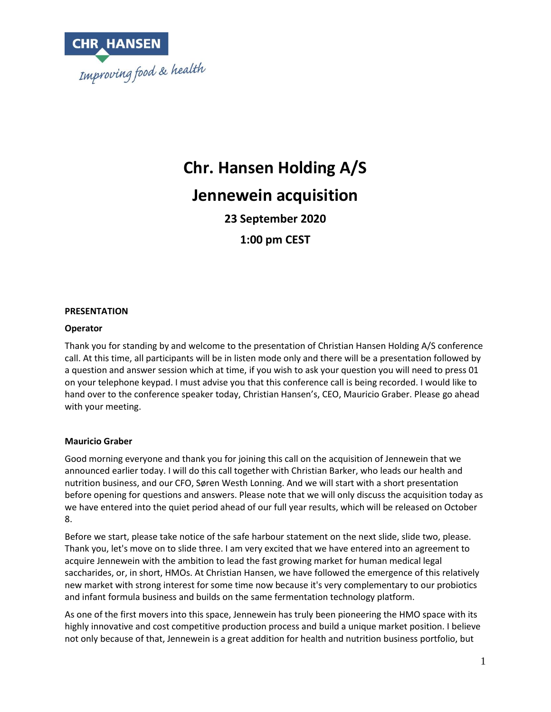

# **Chr. Hansen Holding A/S Jennewein acquisition**

**23 September 2020**

**1:00 pm CEST**

## **PRESENTATION**

#### **Operator**

Thank you for standing by and welcome to the presentation of Christian Hansen Holding A/S conference call. At this time, all participants will be in listen mode only and there will be a presentation followed by a question and answer session which at time, if you wish to ask your question you will need to press 01 on your telephone keypad. I must advise you that this conference call is being recorded. I would like to hand over to the conference speaker today, Christian Hansen's, CEO, Mauricio Graber. Please go ahead with your meeting.

## **Mauricio Graber**

Good morning everyone and thank you for joining this call on the acquisition of Jennewein that we announced earlier today. I will do this call together with Christian Barker, who leads our health and nutrition business, and our CFO, Søren Westh Lonning. And we will start with a short presentation before opening for questions and answers. Please note that we will only discuss the acquisition today as we have entered into the quiet period ahead of our full year results, which will be released on October 8.

Before we start, please take notice of the safe harbour statement on the next slide, slide two, please. Thank you, let's move on to slide three. I am very excited that we have entered into an agreement to acquire Jennewein with the ambition to lead the fast growing market for human medical legal saccharides, or, in short, HMOs. At Christian Hansen, we have followed the emergence of this relatively new market with strong interest for some time now because it's very complementary to our probiotics and infant formula business and builds on the same fermentation technology platform.

As one of the first movers into this space, Jennewein has truly been pioneering the HMO space with its highly innovative and cost competitive production process and build a unique market position. I believe not only because of that, Jennewein is a great addition for health and nutrition business portfolio, but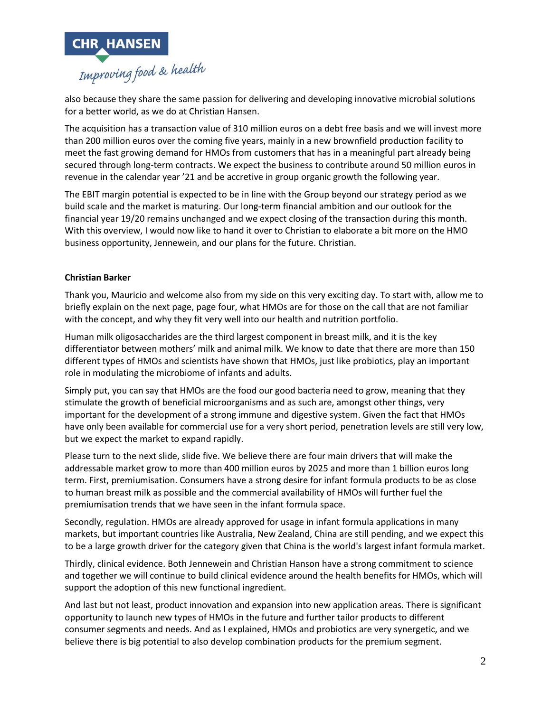

also because they share the same passion for delivering and developing innovative microbial solutions for a better world, as we do at Christian Hansen.

The acquisition has a transaction value of 310 million euros on a debt free basis and we will invest more than 200 million euros over the coming five years, mainly in a new brownfield production facility to meet the fast growing demand for HMOs from customers that has in a meaningful part already being secured through long-term contracts. We expect the business to contribute around 50 million euros in revenue in the calendar year '21 and be accretive in group organic growth the following year.

The EBIT margin potential is expected to be in line with the Group beyond our strategy period as we build scale and the market is maturing. Our long-term financial ambition and our outlook for the financial year 19/20 remains unchanged and we expect closing of the transaction during this month. With this overview, I would now like to hand it over to Christian to elaborate a bit more on the HMO business opportunity, Jennewein, and our plans for the future. Christian.

## **Christian Barker**

Thank you, Mauricio and welcome also from my side on this very exciting day. To start with, allow me to briefly explain on the next page, page four, what HMOs are for those on the call that are not familiar with the concept, and why they fit very well into our health and nutrition portfolio.

Human milk oligosaccharides are the third largest component in breast milk, and it is the key differentiator between mothers' milk and animal milk. We know to date that there are more than 150 different types of HMOs and scientists have shown that HMOs, just like probiotics, play an important role in modulating the microbiome of infants and adults.

Simply put, you can say that HMOs are the food our good bacteria need to grow, meaning that they stimulate the growth of beneficial microorganisms and as such are, amongst other things, very important for the development of a strong immune and digestive system. Given the fact that HMOs have only been available for commercial use for a very short period, penetration levels are still very low, but we expect the market to expand rapidly.

Please turn to the next slide, slide five. We believe there are four main drivers that will make the addressable market grow to more than 400 million euros by 2025 and more than 1 billion euros long term. First, premiumisation. Consumers have a strong desire for infant formula products to be as close to human breast milk as possible and the commercial availability of HMOs will further fuel the premiumisation trends that we have seen in the infant formula space.

Secondly, regulation. HMOs are already approved for usage in infant formula applications in many markets, but important countries like Australia, New Zealand, China are still pending, and we expect this to be a large growth driver for the category given that China is the world's largest infant formula market.

Thirdly, clinical evidence. Both Jennewein and Christian Hanson have a strong commitment to science and together we will continue to build clinical evidence around the health benefits for HMOs, which will support the adoption of this new functional ingredient.

And last but not least, product innovation and expansion into new application areas. There is significant opportunity to launch new types of HMOs in the future and further tailor products to different consumer segments and needs. And as I explained, HMOs and probiotics are very synergetic, and we believe there is big potential to also develop combination products for the premium segment.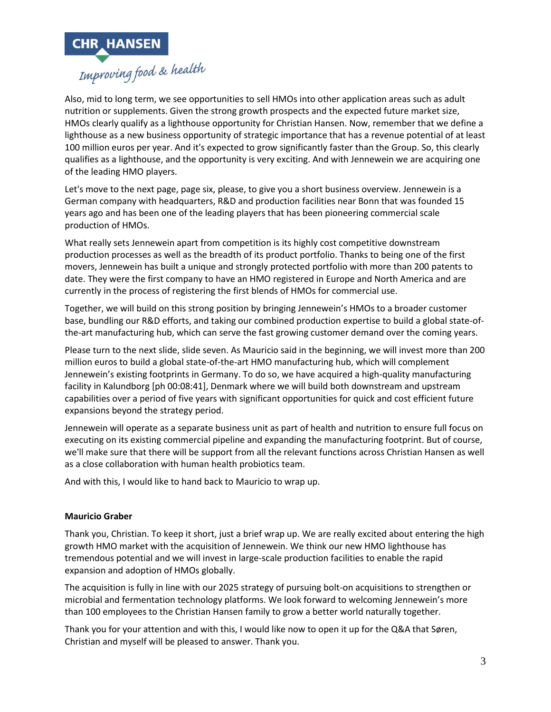

Also, mid to long term, we see opportunities to sell HMOs into other application areas such as adult nutrition or supplements. Given the strong growth prospects and the expected future market size, HMOs clearly qualify as a lighthouse opportunity for Christian Hansen. Now, remember that we define a lighthouse as a new business opportunity of strategic importance that has a revenue potential of at least 100 million euros per year. And it's expected to grow significantly faster than the Group. So, this clearly qualifies as a lighthouse, and the opportunity is very exciting. And with Jennewein we are acquiring one of the leading HMO players.

Let's move to the next page, page six, please, to give you a short business overview. Jennewein is a German company with headquarters, R&D and production facilities near Bonn that was founded 15 years ago and has been one of the leading players that has been pioneering commercial scale production of HMOs.

What really sets Jennewein apart from competition is its highly cost competitive downstream production processes as well as the breadth of its product portfolio. Thanks to being one of the first movers, Jennewein has built a unique and strongly protected portfolio with more than 200 patents to date. They were the first company to have an HMO registered in Europe and North America and are currently in the process of registering the first blends of HMOs for commercial use.

Together, we will build on this strong position by bringing Jennewein's HMOs to a broader customer base, bundling our R&D efforts, and taking our combined production expertise to build a global state-ofthe-art manufacturing hub, which can serve the fast growing customer demand over the coming years.

Please turn to the next slide, slide seven. As Mauricio said in the beginning, we will invest more than 200 million euros to build a global state-of-the-art HMO manufacturing hub, which will complement Jennewein's existing footprints in Germany. To do so, we have acquired a high-quality manufacturing facility in Kalundborg [ph 00:08:41], Denmark where we will build both downstream and upstream capabilities over a period of five years with significant opportunities for quick and cost efficient future expansions beyond the strategy period.

Jennewein will operate as a separate business unit as part of health and nutrition to ensure full focus on executing on its existing commercial pipeline and expanding the manufacturing footprint. But of course, we'll make sure that there will be support from all the relevant functions across Christian Hansen as well as a close collaboration with human health probiotics team.

And with this, I would like to hand back to Mauricio to wrap up.

## **Mauricio Graber**

Thank you, Christian. To keep it short, just a brief wrap up. We are really excited about entering the high growth HMO market with the acquisition of Jennewein. We think our new HMO lighthouse has tremendous potential and we will invest in large-scale production facilities to enable the rapid expansion and adoption of HMOs globally.

The acquisition is fully in line with our 2025 strategy of pursuing bolt-on acquisitions to strengthen or microbial and fermentation technology platforms. We look forward to welcoming Jennewein's more than 100 employees to the Christian Hansen family to grow a better world naturally together.

Thank you for your attention and with this, I would like now to open it up for the Q&A that Søren, Christian and myself will be pleased to answer. Thank you.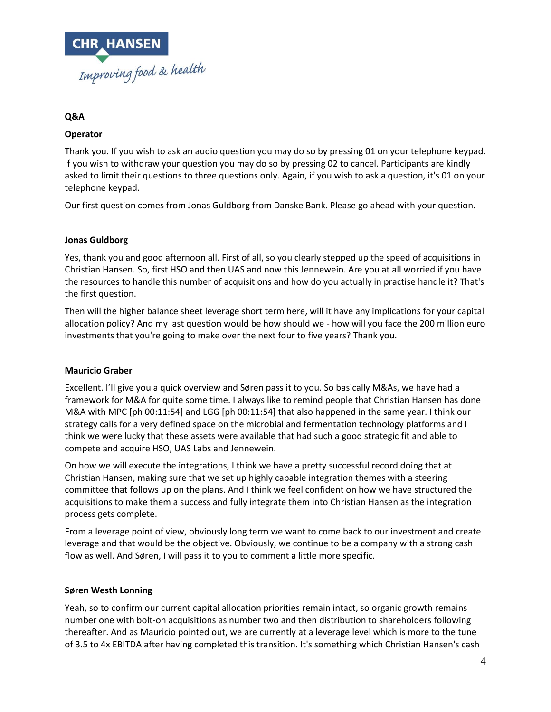

# **Q&A**

# **Operator**

Thank you. If you wish to ask an audio question you may do so by pressing 01 on your telephone keypad. If you wish to withdraw your question you may do so by pressing 02 to cancel. Participants are kindly asked to limit their questions to three questions only. Again, if you wish to ask a question, it's 01 on your telephone keypad.

Our first question comes from Jonas Guldborg from Danske Bank. Please go ahead with your question.

# **Jonas Guldborg**

Yes, thank you and good afternoon all. First of all, so you clearly stepped up the speed of acquisitions in Christian Hansen. So, first HSO and then UAS and now this Jennewein. Are you at all worried if you have the resources to handle this number of acquisitions and how do you actually in practise handle it? That's the first question.

Then will the higher balance sheet leverage short term here, will it have any implications for your capital allocation policy? And my last question would be how should we - how will you face the 200 million euro investments that you're going to make over the next four to five years? Thank you.

# **Mauricio Graber**

Excellent. I'll give you a quick overview and Søren pass it to you. So basically M&As, we have had a framework for M&A for quite some time. I always like to remind people that Christian Hansen has done M&A with MPC [ph 00:11:54] and LGG [ph 00:11:54] that also happened in the same year. I think our strategy calls for a very defined space on the microbial and fermentation technology platforms and I think we were lucky that these assets were available that had such a good strategic fit and able to compete and acquire HSO, UAS Labs and Jennewein.

On how we will execute the integrations, I think we have a pretty successful record doing that at Christian Hansen, making sure that we set up highly capable integration themes with a steering committee that follows up on the plans. And I think we feel confident on how we have structured the acquisitions to make them a success and fully integrate them into Christian Hansen as the integration process gets complete.

From a leverage point of view, obviously long term we want to come back to our investment and create leverage and that would be the objective. Obviously, we continue to be a company with a strong cash flow as well. And Søren, I will pass it to you to comment a little more specific.

## **Søren Westh Lonning**

Yeah, so to confirm our current capital allocation priorities remain intact, so organic growth remains number one with bolt-on acquisitions as number two and then distribution to shareholders following thereafter. And as Mauricio pointed out, we are currently at a leverage level which is more to the tune of 3.5 to 4x EBITDA after having completed this transition. It's something which Christian Hansen's cash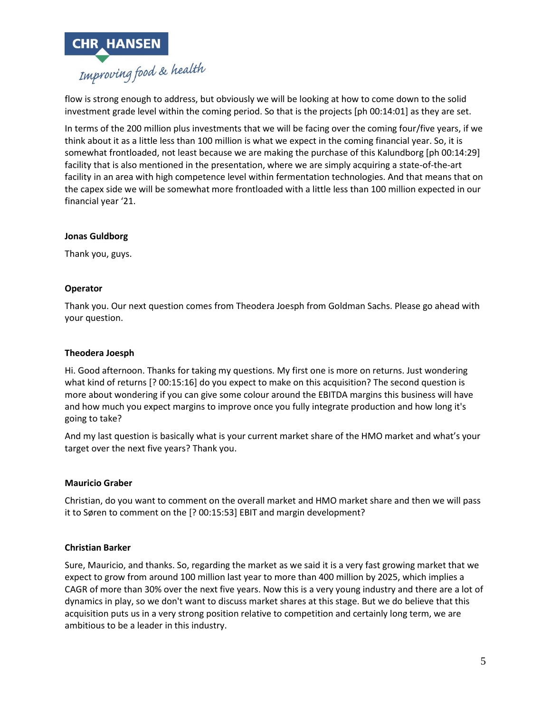

flow is strong enough to address, but obviously we will be looking at how to come down to the solid investment grade level within the coming period. So that is the projects [ph 00:14:01] as they are set.

In terms of the 200 million plus investments that we will be facing over the coming four/five years, if we think about it as a little less than 100 million is what we expect in the coming financial year. So, it is somewhat frontloaded, not least because we are making the purchase of this Kalundborg [ph 00:14:29] facility that is also mentioned in the presentation, where we are simply acquiring a state-of-the-art facility in an area with high competence level within fermentation technologies. And that means that on the capex side we will be somewhat more frontloaded with a little less than 100 million expected in our financial year '21.

#### **Jonas Guldborg**

Thank you, guys.

## **Operator**

Thank you. Our next question comes from Theodera Joesph from Goldman Sachs. Please go ahead with your question.

#### **Theodera Joesph**

Hi. Good afternoon. Thanks for taking my questions. My first one is more on returns. Just wondering what kind of returns [? 00:15:16] do you expect to make on this acquisition? The second question is more about wondering if you can give some colour around the EBITDA margins this business will have and how much you expect margins to improve once you fully integrate production and how long it's going to take?

And my last question is basically what is your current market share of the HMO market and what's your target over the next five years? Thank you.

#### **Mauricio Graber**

Christian, do you want to comment on the overall market and HMO market share and then we will pass it to Søren to comment on the [? 00:15:53] EBIT and margin development?

#### **Christian Barker**

Sure, Mauricio, and thanks. So, regarding the market as we said it is a very fast growing market that we expect to grow from around 100 million last year to more than 400 million by 2025, which implies a CAGR of more than 30% over the next five years. Now this is a very young industry and there are a lot of dynamics in play, so we don't want to discuss market shares at this stage. But we do believe that this acquisition puts us in a very strong position relative to competition and certainly long term, we are ambitious to be a leader in this industry.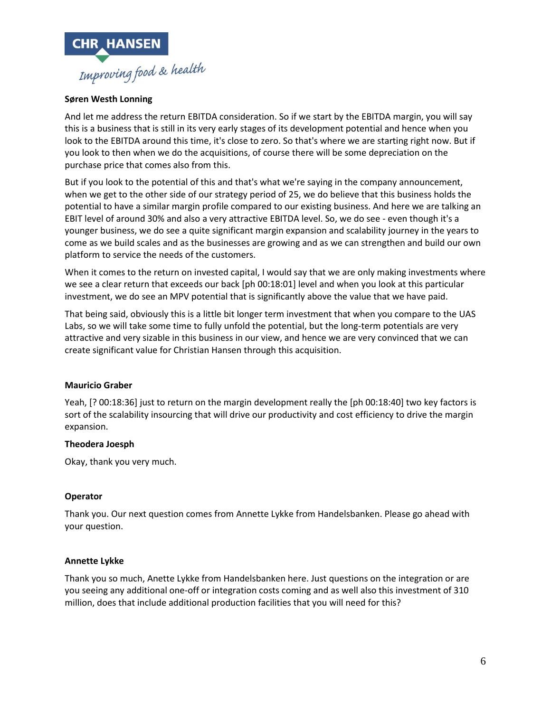

# **Søren Westh Lonning**

And let me address the return EBITDA consideration. So if we start by the EBITDA margin, you will say this is a business that is still in its very early stages of its development potential and hence when you look to the EBITDA around this time, it's close to zero. So that's where we are starting right now. But if you look to then when we do the acquisitions, of course there will be some depreciation on the purchase price that comes also from this.

But if you look to the potential of this and that's what we're saying in the company announcement, when we get to the other side of our strategy period of 25, we do believe that this business holds the potential to have a similar margin profile compared to our existing business. And here we are talking an EBIT level of around 30% and also a very attractive EBITDA level. So, we do see - even though it's a younger business, we do see a quite significant margin expansion and scalability journey in the years to come as we build scales and as the businesses are growing and as we can strengthen and build our own platform to service the needs of the customers.

When it comes to the return on invested capital, I would say that we are only making investments where we see a clear return that exceeds our back [ph 00:18:01] level and when you look at this particular investment, we do see an MPV potential that is significantly above the value that we have paid.

That being said, obviously this is a little bit longer term investment that when you compare to the UAS Labs, so we will take some time to fully unfold the potential, but the long-term potentials are very attractive and very sizable in this business in our view, and hence we are very convinced that we can create significant value for Christian Hansen through this acquisition.

## **Mauricio Graber**

Yeah, [? 00:18:36] just to return on the margin development really the [ph 00:18:40] two key factors is sort of the scalability insourcing that will drive our productivity and cost efficiency to drive the margin expansion.

## **Theodera Joesph**

Okay, thank you very much.

## **Operator**

Thank you. Our next question comes from Annette Lykke from Handelsbanken. Please go ahead with your question.

## **Annette Lykke**

Thank you so much, Anette Lykke from Handelsbanken here. Just questions on the integration or are you seeing any additional one-off or integration costs coming and as well also this investment of 310 million, does that include additional production facilities that you will need for this?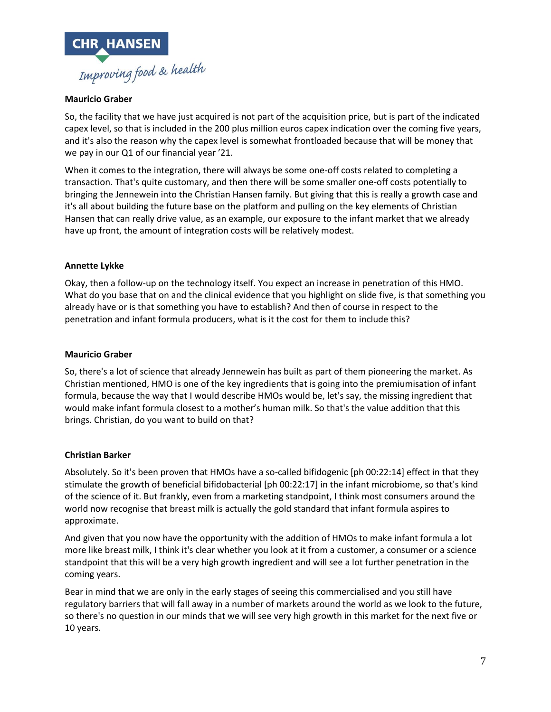

# **Mauricio Graber**

So, the facility that we have just acquired is not part of the acquisition price, but is part of the indicated capex level, so that is included in the 200 plus million euros capex indication over the coming five years, and it's also the reason why the capex level is somewhat frontloaded because that will be money that we pay in our Q1 of our financial year '21.

When it comes to the integration, there will always be some one-off costs related to completing a transaction. That's quite customary, and then there will be some smaller one-off costs potentially to bringing the Jennewein into the Christian Hansen family. But giving that this is really a growth case and it's all about building the future base on the platform and pulling on the key elements of Christian Hansen that can really drive value, as an example, our exposure to the infant market that we already have up front, the amount of integration costs will be relatively modest.

## **Annette Lykke**

Okay, then a follow-up on the technology itself. You expect an increase in penetration of this HMO. What do you base that on and the clinical evidence that you highlight on slide five, is that something you already have or is that something you have to establish? And then of course in respect to the penetration and infant formula producers, what is it the cost for them to include this?

## **Mauricio Graber**

So, there's a lot of science that already Jennewein has built as part of them pioneering the market. As Christian mentioned, HMO is one of the key ingredients that is going into the premiumisation of infant formula, because the way that I would describe HMOs would be, let's say, the missing ingredient that would make infant formula closest to a mother's human milk. So that's the value addition that this brings. Christian, do you want to build on that?

## **Christian Barker**

Absolutely. So it's been proven that HMOs have a so-called bifidogenic [ph 00:22:14] effect in that they stimulate the growth of beneficial bifidobacterial [ph 00:22:17] in the infant microbiome, so that's kind of the science of it. But frankly, even from a marketing standpoint, I think most consumers around the world now recognise that breast milk is actually the gold standard that infant formula aspires to approximate.

And given that you now have the opportunity with the addition of HMOs to make infant formula a lot more like breast milk, I think it's clear whether you look at it from a customer, a consumer or a science standpoint that this will be a very high growth ingredient and will see a lot further penetration in the coming years.

Bear in mind that we are only in the early stages of seeing this commercialised and you still have regulatory barriers that will fall away in a number of markets around the world as we look to the future, so there's no question in our minds that we will see very high growth in this market for the next five or 10 years.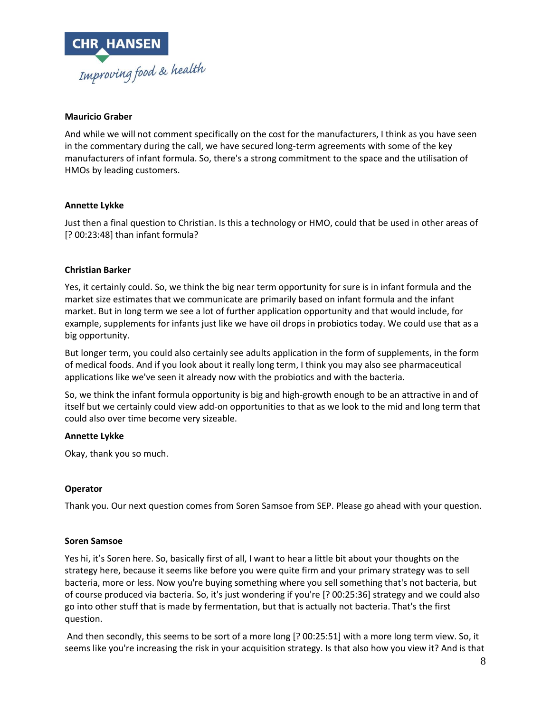

#### **Mauricio Graber**

And while we will not comment specifically on the cost for the manufacturers, I think as you have seen in the commentary during the call, we have secured long-term agreements with some of the key manufacturers of infant formula. So, there's a strong commitment to the space and the utilisation of HMOs by leading customers.

#### **Annette Lykke**

Just then a final question to Christian. Is this a technology or HMO, could that be used in other areas of [? 00:23:48] than infant formula?

#### **Christian Barker**

Yes, it certainly could. So, we think the big near term opportunity for sure is in infant formula and the market size estimates that we communicate are primarily based on infant formula and the infant market. But in long term we see a lot of further application opportunity and that would include, for example, supplements for infants just like we have oil drops in probiotics today. We could use that as a big opportunity.

But longer term, you could also certainly see adults application in the form of supplements, in the form of medical foods. And if you look about it really long term, I think you may also see pharmaceutical applications like we've seen it already now with the probiotics and with the bacteria.

So, we think the infant formula opportunity is big and high-growth enough to be an attractive in and of itself but we certainly could view add-on opportunities to that as we look to the mid and long term that could also over time become very sizeable.

#### **Annette Lykke**

Okay, thank you so much.

#### **Operator**

Thank you. Our next question comes from Soren Samsoe from SEP. Please go ahead with your question.

#### **Soren Samsoe**

Yes hi, it's Soren here. So, basically first of all, I want to hear a little bit about your thoughts on the strategy here, because it seems like before you were quite firm and your primary strategy was to sell bacteria, more or less. Now you're buying something where you sell something that's not bacteria, but of course produced via bacteria. So, it's just wondering if you're [? 00:25:36] strategy and we could also go into other stuff that is made by fermentation, but that is actually not bacteria. That's the first question.

And then secondly, this seems to be sort of a more long [? 00:25:51] with a more long term view. So, it seems like you're increasing the risk in your acquisition strategy. Is that also how you view it? And is that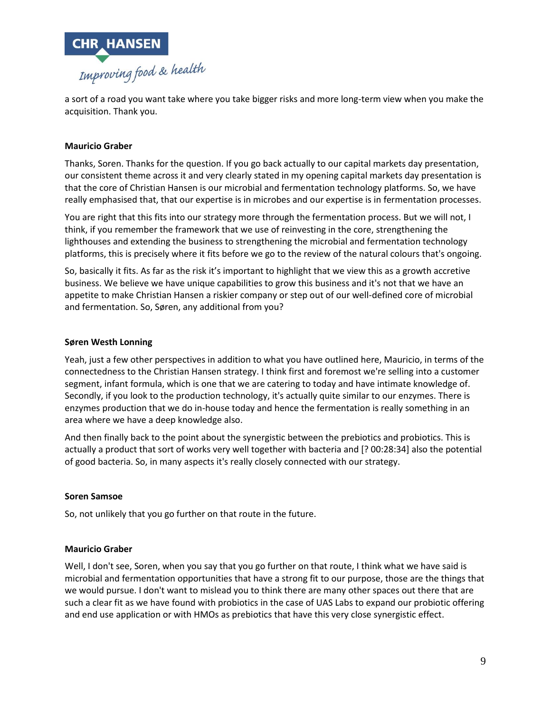

a sort of a road you want take where you take bigger risks and more long-term view when you make the acquisition. Thank you.

## **Mauricio Graber**

Thanks, Soren. Thanks for the question. If you go back actually to our capital markets day presentation, our consistent theme across it and very clearly stated in my opening capital markets day presentation is that the core of Christian Hansen is our microbial and fermentation technology platforms. So, we have really emphasised that, that our expertise is in microbes and our expertise is in fermentation processes.

You are right that this fits into our strategy more through the fermentation process. But we will not, I think, if you remember the framework that we use of reinvesting in the core, strengthening the lighthouses and extending the business to strengthening the microbial and fermentation technology platforms, this is precisely where it fits before we go to the review of the natural colours that's ongoing.

So, basically it fits. As far as the risk it's important to highlight that we view this as a growth accretive business. We believe we have unique capabilities to grow this business and it's not that we have an appetite to make Christian Hansen a riskier company or step out of our well-defined core of microbial and fermentation. So, Søren, any additional from you?

#### **Søren Westh Lonning**

Yeah, just a few other perspectives in addition to what you have outlined here, Mauricio, in terms of the connectedness to the Christian Hansen strategy. I think first and foremost we're selling into a customer segment, infant formula, which is one that we are catering to today and have intimate knowledge of. Secondly, if you look to the production technology, it's actually quite similar to our enzymes. There is enzymes production that we do in-house today and hence the fermentation is really something in an area where we have a deep knowledge also.

And then finally back to the point about the synergistic between the prebiotics and probiotics. This is actually a product that sort of works very well together with bacteria and [? 00:28:34] also the potential of good bacteria. So, in many aspects it's really closely connected with our strategy.

#### **Soren Samsoe**

So, not unlikely that you go further on that route in the future.

#### **Mauricio Graber**

Well, I don't see, Soren, when you say that you go further on that route, I think what we have said is microbial and fermentation opportunities that have a strong fit to our purpose, those are the things that we would pursue. I don't want to mislead you to think there are many other spaces out there that are such a clear fit as we have found with probiotics in the case of UAS Labs to expand our probiotic offering and end use application or with HMOs as prebiotics that have this very close synergistic effect.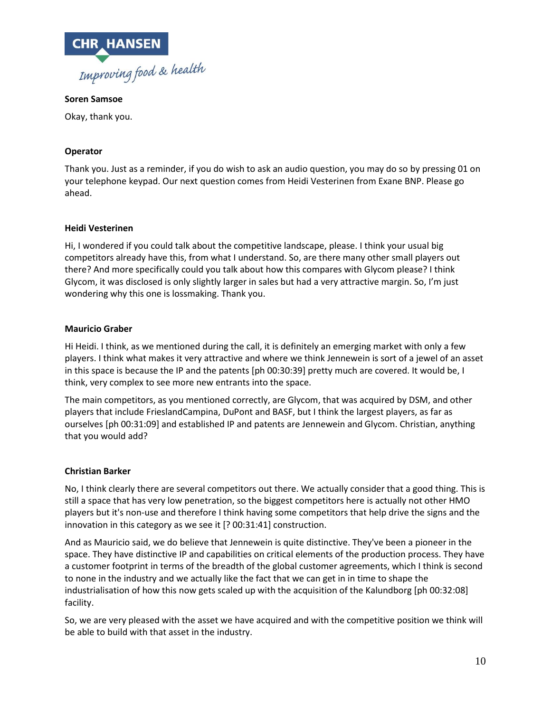

#### **Soren Samsoe**

Okay, thank you.

## **Operator**

Thank you. Just as a reminder, if you do wish to ask an audio question, you may do so by pressing 01 on your telephone keypad. Our next question comes from Heidi Vesterinen from Exane BNP. Please go ahead.

## **Heidi Vesterinen**

Hi, I wondered if you could talk about the competitive landscape, please. I think your usual big competitors already have this, from what I understand. So, are there many other small players out there? And more specifically could you talk about how this compares with Glycom please? I think Glycom, it was disclosed is only slightly larger in sales but had a very attractive margin. So, I'm just wondering why this one is lossmaking. Thank you.

## **Mauricio Graber**

Hi Heidi. I think, as we mentioned during the call, it is definitely an emerging market with only a few players. I think what makes it very attractive and where we think Jennewein is sort of a jewel of an asset in this space is because the IP and the patents [ph 00:30:39] pretty much are covered. It would be, I think, very complex to see more new entrants into the space.

The main competitors, as you mentioned correctly, are Glycom, that was acquired by DSM, and other players that include FrieslandCampina, DuPont and BASF, but I think the largest players, as far as ourselves [ph 00:31:09] and established IP and patents are Jennewein and Glycom. Christian, anything that you would add?

## **Christian Barker**

No, I think clearly there are several competitors out there. We actually consider that a good thing. This is still a space that has very low penetration, so the biggest competitors here is actually not other HMO players but it's non-use and therefore I think having some competitors that help drive the signs and the innovation in this category as we see it [? 00:31:41] construction.

And as Mauricio said, we do believe that Jennewein is quite distinctive. They've been a pioneer in the space. They have distinctive IP and capabilities on critical elements of the production process. They have a customer footprint in terms of the breadth of the global customer agreements, which I think is second to none in the industry and we actually like the fact that we can get in in time to shape the industrialisation of how this now gets scaled up with the acquisition of the Kalundborg [ph 00:32:08] facility.

So, we are very pleased with the asset we have acquired and with the competitive position we think will be able to build with that asset in the industry.